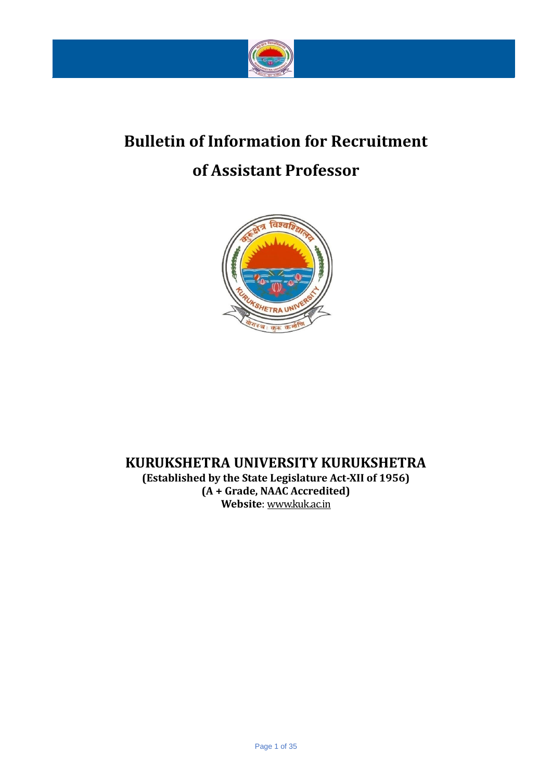

# **Bulletin of Information for Recruitment**

# **of Assistant Professor**



# **KURUKSHETRA UNIVERSITY KURUKSHETRA**

**(Established by the State Legislature Act-XII of 1956) (A + Grade, NAAC Accredited) Website**: [www.kuk.ac.in](http://www.kuk.ac.in/)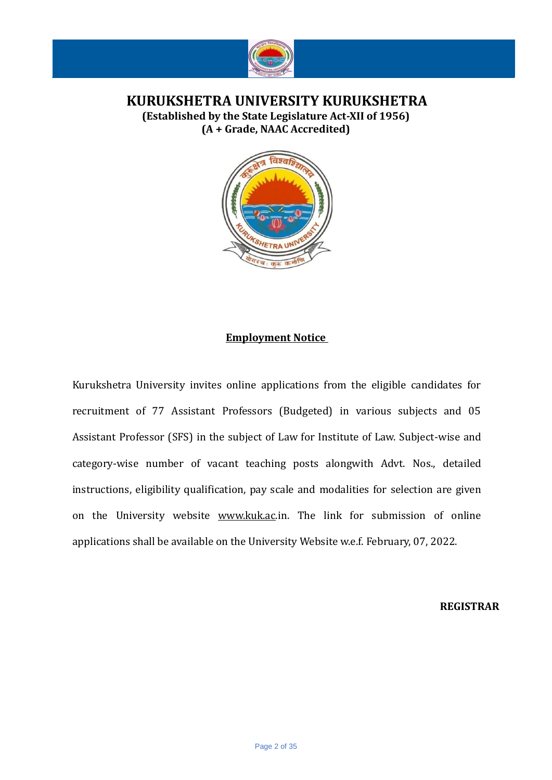

**KURUKSHETRA UNIVERSITY KURUKSHETRA (Established by the State Legislature Act-XII of 1956) (A + Grade, NAAC Accredited)**



### **Employment Notice**

Kurukshetra University invites online applications from the eligible candidates for recruitment of 77 Assistant Professors (Budgeted) in various subjects and 05 Assistant Professor (SFS) in the subject of Law for Institute of Law. Subject-wise and category-wise number of vacant teaching posts alongwith Advt. Nos., detailed instructions, eligibility qualification, pay scale and modalities for selection are given on the University website [www.kuk.ac.](http://www.kuk.ac/)[i](http://www.kuk.ac.in/)n. The link for submission of online applications shall be available on the University Website w.e.f. February, 07, 2022.

**REGISTRAR**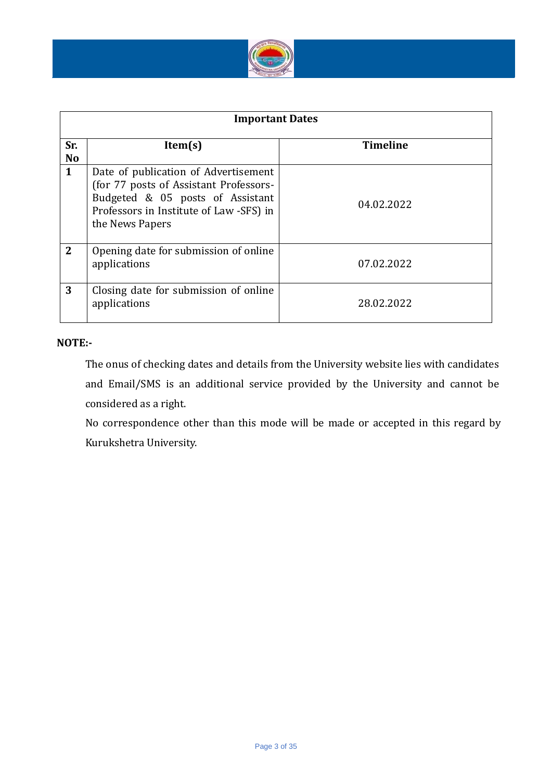

| <b>Important Dates</b> |                                                                                                                                                                                  |                 |  |  |  |
|------------------------|----------------------------------------------------------------------------------------------------------------------------------------------------------------------------------|-----------------|--|--|--|
| Sr.<br><b>No</b>       | Item(s)                                                                                                                                                                          | <b>Timeline</b> |  |  |  |
| 1                      | Date of publication of Advertisement<br>(for 77 posts of Assistant Professors-<br>Budgeted & 05 posts of Assistant<br>Professors in Institute of Law -SFS) in<br>the News Papers | 04.02.2022      |  |  |  |
| $\mathbf{2}$           | Opening date for submission of online<br>applications                                                                                                                            | 07.02.2022      |  |  |  |
| 3                      | Closing date for submission of online<br>applications                                                                                                                            | 28.02.2022      |  |  |  |

### **NOTE:-**

The onus of checking dates and details from the University website lies with candidates and Email/SMS is an additional service provided by the University and cannot be considered as a right.

No correspondence other than this mode will be made or accepted in this regard by Kurukshetra University.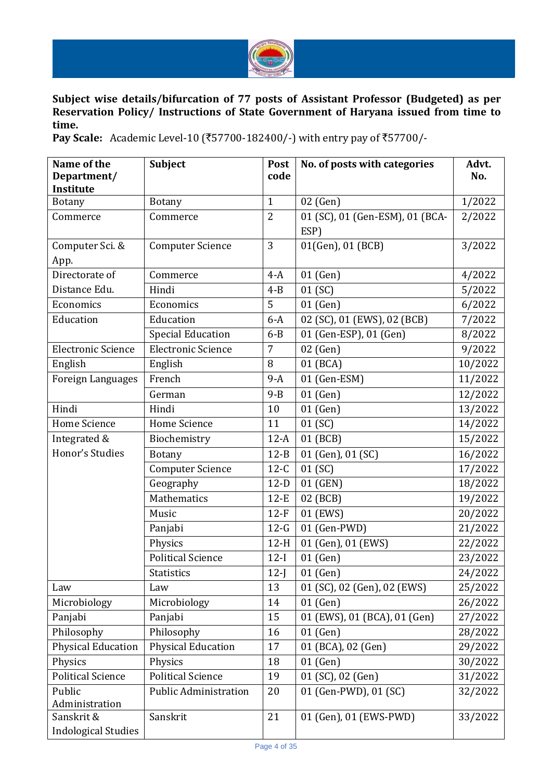

**Subject wise details/bifurcation of 77 posts of Assistant Professor (Budgeted) as per Reservation Policy/ Instructions of State Government of Haryana issued from time to time.**

Pay Scale: Academic Level-10 (₹57700-182400/-) with entry pay of ₹57700/-

| Name of the                | Subject                                     | Post           | No. of posts with categories            | Advt.   |
|----------------------------|---------------------------------------------|----------------|-----------------------------------------|---------|
| Department/                |                                             | code           |                                         | No.     |
| Institute                  |                                             | $\mathbf{1}$   |                                         |         |
| <b>Botany</b><br>Commerce  | <b>Botany</b><br>02 (Gen)<br>$\overline{2}$ |                |                                         | 1/2022  |
|                            | Commerce                                    |                | 01 (SC), 01 (Gen-ESM), 01 (BCA-<br>ESP) | 2/2022  |
| Computer Sci. &            | <b>Computer Science</b>                     | 3              | 01(Gen), 01 (BCB)                       | 3/2022  |
| App.                       |                                             |                |                                         |         |
| Directorate of             | Commerce                                    | $4-A$          | 01 (Gen)                                | 4/2022  |
| Distance Edu.              | Hindi                                       | $4 - B$        | 01 (SC)                                 | 5/2022  |
| Economics                  | Economics                                   | 5              | 01 (Gen)                                |         |
| Education                  | Education                                   | $6-A$          |                                         | 6/2022  |
|                            |                                             | $6 - B$        | 02 (SC), 01 (EWS), 02 (BCB)             | 7/2022  |
|                            | <b>Special Education</b>                    | $\overline{7}$ | 01 (Gen-ESP), 01 (Gen)                  | 8/2022  |
| <b>Electronic Science</b>  | <b>Electronic Science</b>                   |                | 02 (Gen)                                | 9/2022  |
| English                    | English                                     | 8              | 01 (BCA)                                | 10/2022 |
| Foreign Languages          | French                                      | $9-A$          | 01 (Gen-ESM)                            | 11/2022 |
|                            | German                                      | $9 - B$        | 01 (Gen)                                | 12/2022 |
| Hindi                      | Hindi                                       | 10             | 01 (Gen)                                | 13/2022 |
| Home Science               | Home Science                                | 11             | 01 (SC)                                 | 14/2022 |
| Integrated &               | Biochemistry                                | $12-A$         | 01 (BCB)                                | 15/2022 |
| Honor's Studies            | <b>Botany</b>                               | $12-B$         | 01 (Gen), 01 (SC)                       | 16/2022 |
|                            | <b>Computer Science</b>                     | $12-C$         | 01 (SC)                                 | 17/2022 |
|                            | Geography                                   | $12-D$         | 01 (GEN)                                | 18/2022 |
|                            | Mathematics                                 | $12-E$         | 02 (BCB)                                | 19/2022 |
|                            | Music                                       | $12-F$         | 01 (EWS)                                | 20/2022 |
|                            | Panjabi                                     | $12-G$         | 01 (Gen-PWD)                            | 21/2022 |
|                            | Physics                                     | $12-H$         | 01 (Gen), 01 (EWS)                      | 22/2022 |
|                            | <b>Political Science</b>                    | $12-I$         | 01 (Gen)                                | 23/2022 |
|                            | Statistics                                  | $12-J$         | $01$ (Gen)                              | 24/2022 |
| Law                        | Law                                         | 13             | 01 (SC), 02 (Gen), 02 (EWS)             | 25/2022 |
| Microbiology               | Microbiology                                | 14             | 01 (Gen)                                | 26/2022 |
| Panjabi                    | Panjabi                                     | 15             | 01 (EWS), 01 (BCA), 01 (Gen)            | 27/2022 |
| Philosophy                 | Philosophy                                  | 16             | 01 (Gen)                                | 28/2022 |
| <b>Physical Education</b>  | <b>Physical Education</b>                   | 17             | 01 (BCA), 02 (Gen)                      | 29/2022 |
| Physics                    | Physics                                     | 18             | 01 (Gen)                                | 30/2022 |
| <b>Political Science</b>   | <b>Political Science</b>                    | 19             | 01 (SC), 02 (Gen)                       | 31/2022 |
| Public                     | <b>Public Administration</b>                | 20             | 01 (Gen-PWD), 01 (SC)                   | 32/2022 |
| Administration             |                                             |                |                                         |         |
| Sanskrit &                 | Sanskrit                                    | 21             | 01 (Gen), 01 (EWS-PWD)                  | 33/2022 |
| <b>Indological Studies</b> |                                             |                |                                         |         |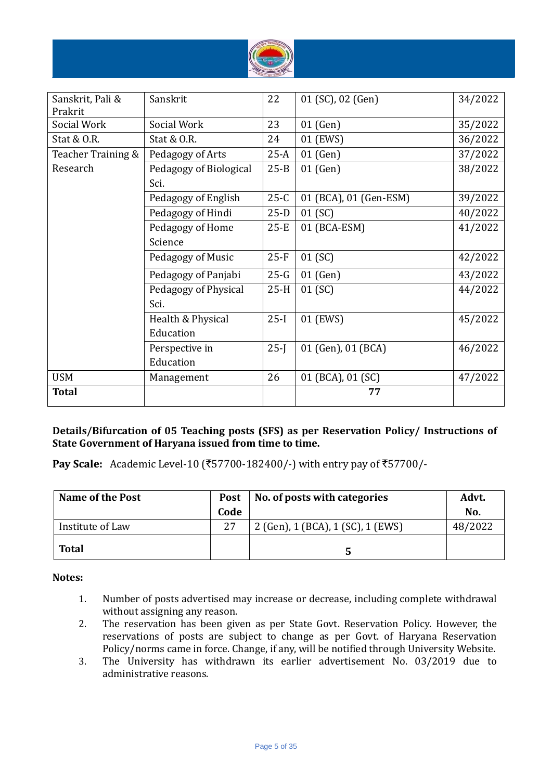

| Sanskrit, Pali &<br>Prakrit | Sanskrit               | 22       | 01 (SC), 02 (Gen)      | 34/2022 |
|-----------------------------|------------------------|----------|------------------------|---------|
| Social Work                 | Social Work            | 23       | 01 (Gen)               | 35/2022 |
| Stat & O.R.                 | Stat & O.R.            | 24       | 01 (EWS)               | 36/2022 |
| Teacher Training &          | Pedagogy of Arts       | $25-A$   | 01 (Gen)               | 37/2022 |
| Research                    | Pedagogy of Biological | $25 - B$ | 01 (Gen)               | 38/2022 |
|                             | Sci.                   |          |                        |         |
|                             | Pedagogy of English    | $25-C$   | 01 (BCA), 01 (Gen-ESM) | 39/2022 |
|                             | Pedagogy of Hindi      | $25-D$   | 01 (SC)                | 40/2022 |
|                             | Pedagogy of Home       | $25-E$   | 01 (BCA-ESM)           | 41/2022 |
|                             | Science                |          |                        |         |
|                             | Pedagogy of Music      | $25-F$   | 01 (SC)                | 42/2022 |
|                             | Pedagogy of Panjabi    | $25-G$   | $01$ (Gen)             | 43/2022 |
|                             | Pedagogy of Physical   | $25-H$   | 01 (SC)                | 44/2022 |
|                             | Sci.                   |          |                        |         |
|                             | Health & Physical      | $25-I$   | 01 (EWS)               | 45/2022 |
|                             | Education              |          |                        |         |
|                             | Perspective in         | $25-I$   | 01 (Gen), 01 (BCA)     | 46/2022 |
|                             | Education              |          |                        |         |
| <b>USM</b>                  | Management             | 26       | 01 (BCA), 01 (SC)      | 47/2022 |
| <b>Total</b>                |                        |          | 77                     |         |

### **Details/Bifurcation of 05 Teaching posts (SFS) as per Reservation Policy/ Instructions of State Government of Haryana issued from time to time.**

**Pay Scale:** Academic Level-10 (₹57700-182400/-) with entry pay of ₹57700/-

| <b>Name of the Post</b> | <b>Post</b> | No. of posts with categories      | Advt.   |
|-------------------------|-------------|-----------------------------------|---------|
|                         | Code        |                                   | No.     |
| Institute of Law        | 27          | 2 (Gen), 1 (BCA), 1 (SC), 1 (EWS) | 48/2022 |
| <b>Total</b>            |             |                                   |         |

### **Notes:**

- 1. Number of posts advertised may increase or decrease, including complete withdrawal without assigning any reason.
- 2. The reservation has been given as per State Govt. Reservation Policy. However, the reservations of posts are subject to change as per Govt. of Haryana Reservation Policy/norms came in force. Change, if any, will be notified through University Website.
- 3. The University has withdrawn its earlier advertisement No. 03/2019 due to administrative reasons.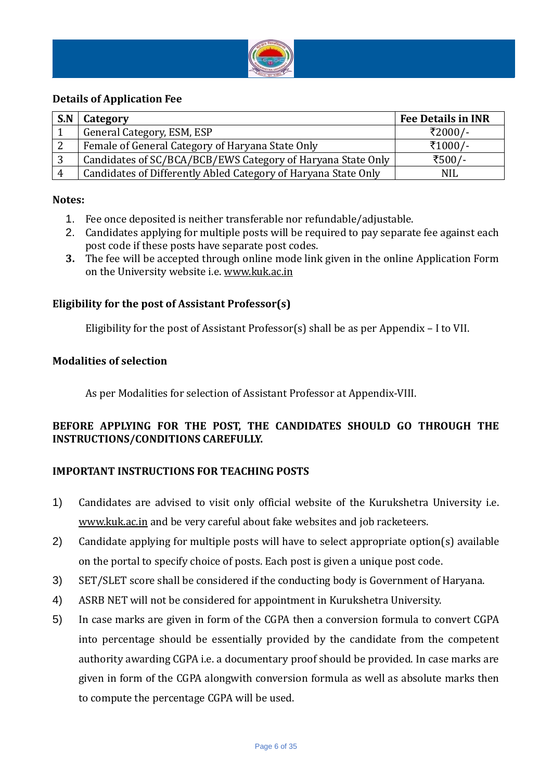

### **Details of Application Fee**

| S.N | Category                                                       | <b>Fee Details in INR</b> |
|-----|----------------------------------------------------------------|---------------------------|
|     | General Category, ESM, ESP                                     | ₹2000/-                   |
| ∠   | Female of General Category of Haryana State Only               | ₹1000/-                   |
| 3   | Candidates of SC/BCA/BCB/EWS Category of Haryana State Only    | ₹500/-                    |
|     | Candidates of Differently Abled Category of Haryana State Only | <b>NIL</b>                |

### **Notes:**

- 1. Fee once deposited is neither transferable nor refundable/adjustable.
- 2. Candidates applying for multiple posts will be required to pay separate fee against each post code if these posts have separate post codes.
- **3.** The fee will be accepted through online mode link given in the online Application Form on the University website i.e[. www.kuk.ac.in](http://www.kuk.ac.in/)

### **Eligibility for the post of Assistant Professor(s)**

Eligibility for the post of Assistant Professor(s) shall be as per Appendix – I to VII.

### **Modalities of selection**

As per Modalities for selection of Assistant Professor at Appendix-VIII.

### **BEFORE APPLYING FOR THE POST, THE CANDIDATES SHOULD GO THROUGH THE INSTRUCTIONS/CONDITIONS CAREFULLY.**

### **IMPORTANT INSTRUCTIONS FOR TEACHING POSTS**

- 1) Candidates are advised to visit only official website of the Kurukshetra University i.e. [www.kuk.ac.in](http://www.kuk.ac.in/) and be very careful about fake websites and job racketeers.
- 2) Candidate applying for multiple posts will have to select appropriate option(s) available on the portal to specify choice of posts. Each post is given a unique post code.
- 3) SET/SLET score shall be considered if the conducting body is Government of Haryana.
- 4) ASRB NET will not be considered for appointment in Kurukshetra University.
- 5) In case marks are given in form of the CGPA then a conversion formula to convert CGPA into percentage should be essentially provided by the candidate from the competent authority awarding CGPA i.e. a documentary proof should be provided. In case marks are given in form of the CGPA alongwith conversion formula as well as absolute marks then to compute the percentage CGPA will be used.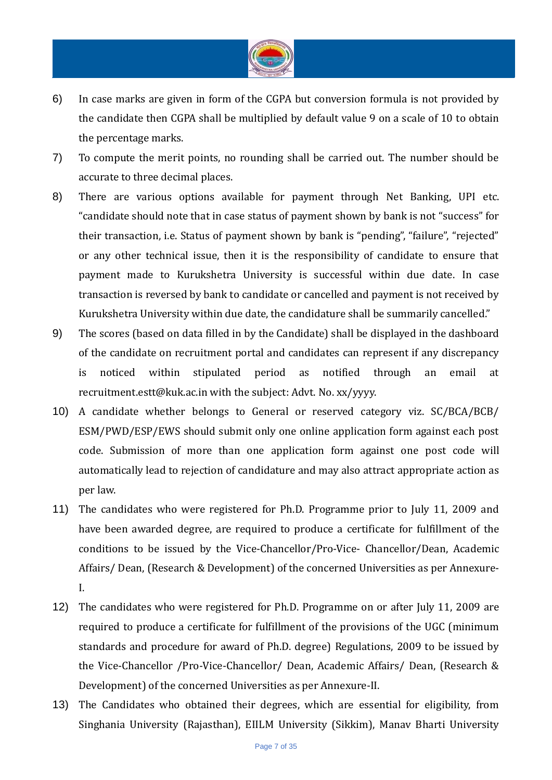

- 6) In case marks are given in form of the CGPA but conversion formula is not provided by the candidate then CGPA shall be multiplied by default value 9 on a scale of 10 to obtain the percentage marks.
- 7) To compute the merit points, no rounding shall be carried out. The number should be accurate to three decimal places.
- 8) There are various options available for payment through Net Banking, UPI etc. "candidate should note that in case status of payment shown by bank is not "success" for their transaction, i.e. Status of payment shown by bank is "pending", "failure", "rejected" or any other technical issue, then it is the responsibility of candidate to ensure that payment made to Kurukshetra University is successful within due date. In case transaction is reversed by bank to candidate or cancelled and payment is not received by Kurukshetra University within due date, the candidature shall be summarily cancelled."
- 9) The scores (based on data filled in by the Candidate) shall be displayed in the dashboard of the candidate on recruitment portal and candidates can represent if any discrepancy is noticed within stipulated period as notified through an email at recruitment.estt@kuk.ac.in with the subject: Advt. No. xx/yyyy.
- 10) A candidate whether belongs to General or reserved category viz. SC/BCA/BCB/ ESM/PWD/ESP/EWS should submit only one online application form against each post code. Submission of more than one application form against one post code will automatically lead to rejection of candidature and may also attract appropriate action as per law.
- 11) The candidates who were registered for Ph.D. Programme prior to July 11, 2009 and have been awarded degree, are required to produce a certificate for fulfillment of the conditions to be issued by the Vice-Chancellor/Pro-Vice- Chancellor/Dean, Academic Affairs/ Dean, (Research & Development) of the concerned Universities as per Annexure-I.
- 12) The candidates who were registered for Ph.D. Programme on or after July 11, 2009 are required to produce a certificate for fulfillment of the provisions of the UGC (minimum standards and procedure for award of Ph.D. degree) Regulations, 2009 to be issued by the Vice-Chancellor /Pro-Vice-Chancellor/ Dean, Academic Affairs/ Dean, (Research & Development) of the concerned Universities as per Annexure-II.
- 13) The Candidates who obtained their degrees, which are essential for eligibility, from Singhania University (Rajasthan), EIILM University (Sikkim), Manav Bharti University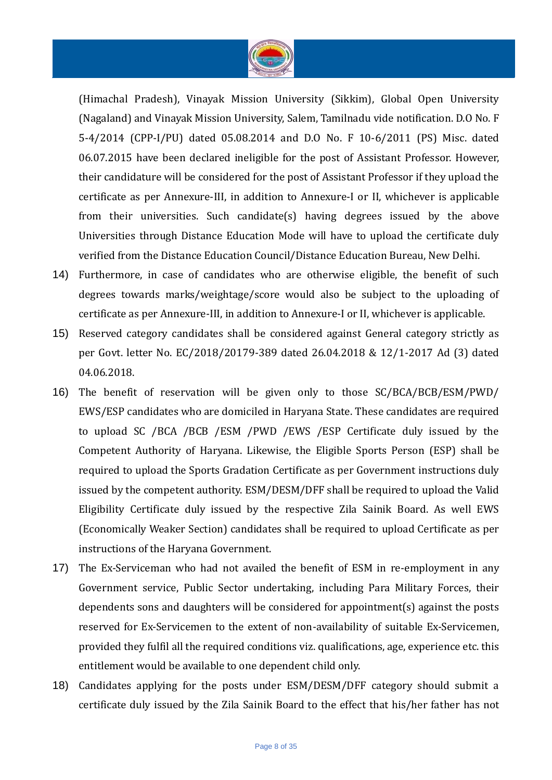

(Himachal Pradesh), Vinayak Mission University (Sikkim), Global Open University (Nagaland) and Vinayak Mission University, Salem, Tamilnadu vide notification. D.O No. F 5-4/2014 (CPP-I/PU) dated 05.08.2014 and D.O No. F 10-6/2011 (PS) Misc. dated 06.07.2015 have been declared ineligible for the post of Assistant Professor. However, their candidature will be considered for the post of Assistant Professor if they upload the certificate as per Annexure-III, in addition to Annexure-I or II, whichever is applicable from their universities. Such candidate(s) having degrees issued by the above Universities through Distance Education Mode will have to upload the certificate duly verified from the Distance Education Council/Distance Education Bureau, New Delhi.

- 14) Furthermore, in case of candidates who are otherwise eligible, the benefit of such degrees towards marks/weightage/score would also be subject to the uploading of certificate as per Annexure-III, in addition to Annexure-I or II, whichever is applicable.
- 15) Reserved category candidates shall be considered against General category strictly as per Govt. letter No. EC/2018/20179-389 dated 26.04.2018 & 12/1-2017 Ad (3) dated 04.06.2018.
- 16) The benefit of reservation will be given only to those SC/BCA/BCB/ESM/PWD/ EWS/ESP candidates who are domiciled in Haryana State. These candidates are required to upload SC /BCA /BCB /ESM /PWD /EWS /ESP Certificate duly issued by the Competent Authority of Haryana. Likewise, the Eligible Sports Person (ESP) shall be required to upload the Sports Gradation Certificate as per Government instructions duly issued by the competent authority. ESM/DESM/DFF shall be required to upload the Valid Eligibility Certificate duly issued by the respective Zila Sainik Board. As well EWS (Economically Weaker Section) candidates shall be required to upload Certificate as per instructions of the Haryana Government.
- 17) The Ex-Serviceman who had not availed the benefit of ESM in re-employment in any Government service, Public Sector undertaking, including Para Military Forces, their dependents sons and daughters will be considered for appointment(s) against the posts reserved for Ex-Servicemen to the extent of non-availability of suitable Ex-Servicemen, provided they fulfil all the required conditions viz. qualifications, age, experience etc. this entitlement would be available to one dependent child only.
- 18) Candidates applying for the posts under ESM/DESM/DFF category should submit a certificate duly issued by the Zila Sainik Board to the effect that his/her father has not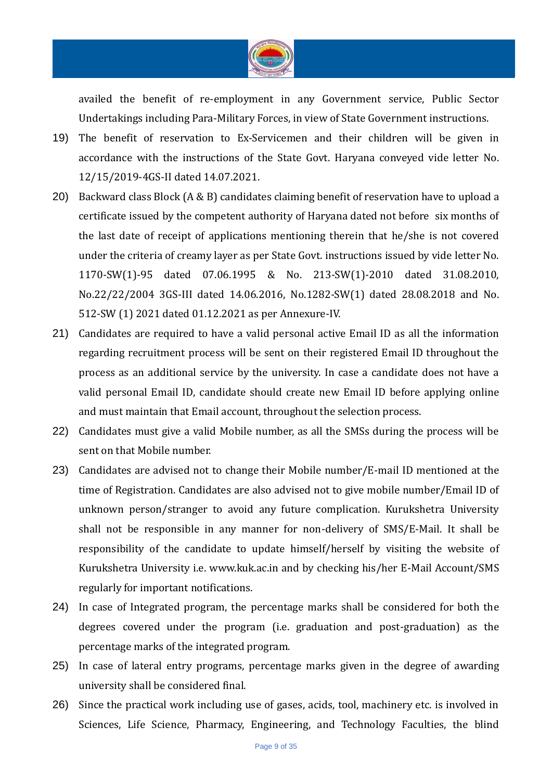

availed the benefit of re-employment in any Government service, Public Sector Undertakings including Para-Military Forces, in view of State Government instructions.

- 19) The benefit of reservation to Ex-Servicemen and their children will be given in accordance with the instructions of the State Govt. Haryana conveyed vide letter No. 12/15/2019-4GS-II dated 14.07.2021.
- 20) Backward class Block (A & B) candidates claiming benefit of reservation have to upload a certificate issued by the competent authority of Haryana dated not before six months of the last date of receipt of applications mentioning therein that he/she is not covered under the criteria of creamy layer as per State Govt. instructions issued by vide letter No. 1170-SW(1)-95 dated 07.06.1995 & No. 213-SW(1)-2010 dated 31.08.2010, No.22/22/2004 3GS-III dated 14.06.2016, No.1282-SW(1) dated 28.08.2018 and No. 512-SW (1) 2021 dated 01.12.2021 as per Annexure-IV.
- 21) Candidates are required to have a valid personal active Email ID as all the information regarding recruitment process will be sent on their registered Email ID throughout the process as an additional service by the university. In case a candidate does not have a valid personal Email ID, candidate should create new Email ID before applying online and must maintain that Email account, throughout the selection process.
- 22) Candidates must give a valid Mobile number, as all the SMSs during the process will be sent on that Mobile number.
- 23) Candidates are advised not to change their Mobile number/E-mail ID mentioned at the time of Registration. Candidates are also advised not to give mobile number/Email ID of unknown person/stranger to avoid any future complication. Kurukshetra University shall not be responsible in any manner for non-delivery of SMS/E-Mail. It shall be responsibility of the candidate to update himself/herself by visiting the website of Kurukshetra University i.e. www.kuk.ac.in and by checking his/her E-Mail Account/SMS regularly for important notifications.
- 24) In case of Integrated program, the percentage marks shall be considered for both the degrees covered under the program (i.e. graduation and post-graduation) as the percentage marks of the integrated program.
- 25) In case of lateral entry programs, percentage marks given in the degree of awarding university shall be considered final.
- 26) Since the practical work including use of gases, acids, tool, machinery etc. is involved in Sciences, Life Science, Pharmacy, Engineering, and Technology Faculties, the blind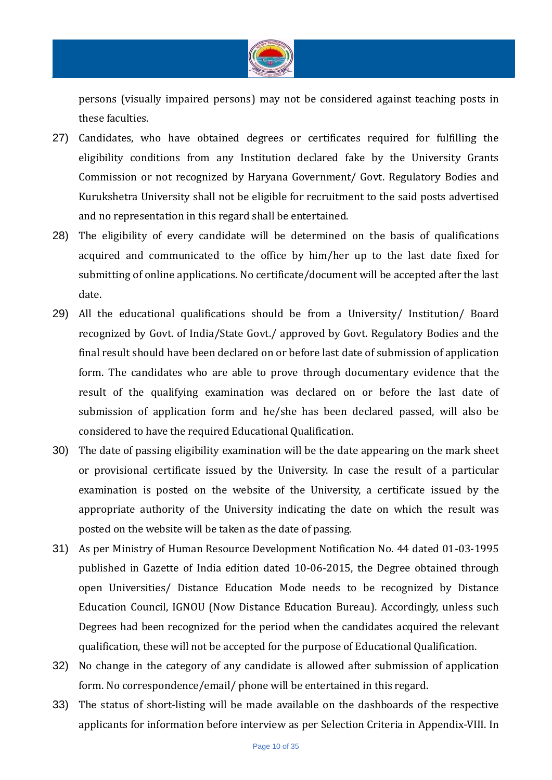

persons (visually impaired persons) may not be considered against teaching posts in these faculties.

- 27) Candidates, who have obtained degrees or certificates required for fulfilling the eligibility conditions from any Institution declared fake by the University Grants Commission or not recognized by Haryana Government/ Govt. Regulatory Bodies and Kurukshetra University shall not be eligible for recruitment to the said posts advertised and no representation in this regard shall be entertained.
- 28) The eligibility of every candidate will be determined on the basis of qualifications acquired and communicated to the office by him/her up to the last date fixed for submitting of online applications. No certificate/document will be accepted after the last date.
- 29) All the educational qualifications should be from a University/ Institution/ Board recognized by Govt. of India/State Govt./ approved by Govt. Regulatory Bodies and the final result should have been declared on or before last date of submission of application form. The candidates who are able to prove through documentary evidence that the result of the qualifying examination was declared on or before the last date of submission of application form and he/she has been declared passed, will also be considered to have the required Educational Qualification.
- 30) The date of passing eligibility examination will be the date appearing on the mark sheet or provisional certificate issued by the University. In case the result of a particular examination is posted on the website of the University, a certificate issued by the appropriate authority of the University indicating the date on which the result was posted on the website will be taken as the date of passing.
- 31) As per Ministry of Human Resource Development Notification No. 44 dated 01-03-1995 published in Gazette of India edition dated 10-06-2015, the Degree obtained through open Universities/ Distance Education Mode needs to be recognized by Distance Education Council, IGNOU (Now Distance Education Bureau). Accordingly, unless such Degrees had been recognized for the period when the candidates acquired the relevant qualification, these will not be accepted for the purpose of Educational Qualification.
- 32) No change in the category of any candidate is allowed after submission of application form. No correspondence/email/ phone will be entertained in this regard.
- 33) The status of short-listing will be made available on the dashboards of the respective applicants for information before interview as per Selection Criteria in Appendix-VIII. In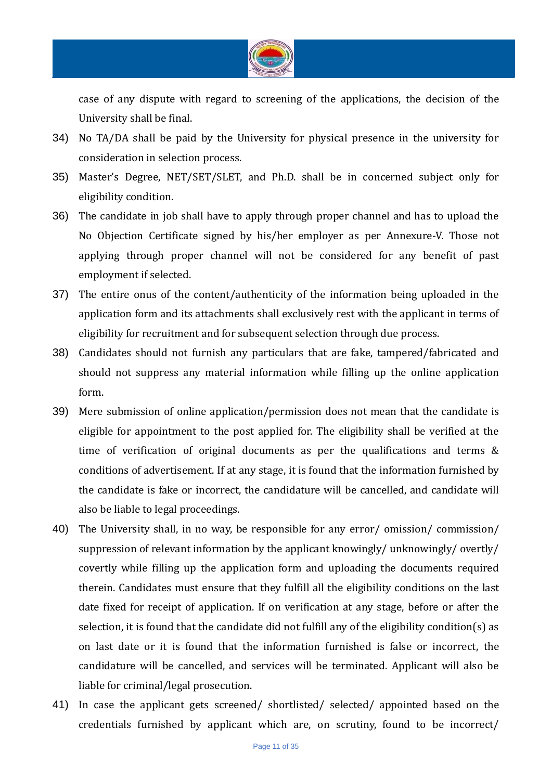

case of any dispute with regard to screening of the applications, the decision of the University shall be final.

- 34) No TA/DA shall be paid by the University for physical presence in the university for consideration in selection process.
- 35) Master's Degree, NET/SET/SLET, and Ph.D. shall be in concerned subject only for eligibility condition.
- 36) The candidate in job shall have to apply through proper channel and has to upload the No Objection Certificate signed by his/her employer as per Annexure-V. Those not applying through proper channel will not be considered for any benefit of past employment if selected.
- 37) The entire onus of the content/authenticity of the information being uploaded in the application form and its attachments shall exclusively rest with the applicant in terms of eligibility for recruitment and for subsequent selection through due process.
- 38) Candidates should not furnish any particulars that are fake, tampered/fabricated and should not suppress any material information while filling up the online application form.
- 39) Mere submission of online application/permission does not mean that the candidate is eligible for appointment to the post applied for. The eligibility shall be verified at the time of verification of original documents as per the qualifications and terms & conditions of advertisement. If at any stage, it is found that the information furnished by the candidate is fake or incorrect, the candidature will be cancelled, and candidate will also be liable to legal proceedings.
- 40) The University shall, in no way, be responsible for any error/ omission/ commission/ suppression of relevant information by the applicant knowingly/ unknowingly/ overtly/ covertly while filling up the application form and uploading the documents required therein. Candidates must ensure that they fulfill all the eligibility conditions on the last date fixed for receipt of application. If on verification at any stage, before or after the selection, it is found that the candidate did not fulfill any of the eligibility condition(s) as on last date or it is found that the information furnished is false or incorrect, the candidature will be cancelled, and services will be terminated. Applicant will also be liable for criminal/legal prosecution.
- 41) In case the applicant gets screened/ shortlisted/ selected/ appointed based on the credentials furnished by applicant which are, on scrutiny, found to be incorrect/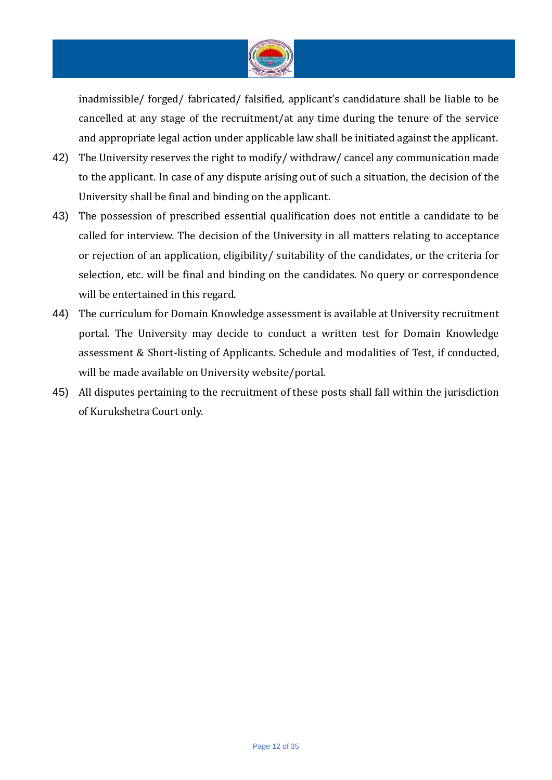

inadmissible/ forged/ fabricated/ falsified, applicant's candidature shall be liable to be cancelled at any stage of the recruitment/at any time during the tenure of the service and appropriate legal action under applicable law shall be initiated against the applicant.

- 42) The University reserves the right to modify/withdraw/cancel any communication made to the applicant. In case of any dispute arising out of such a situation, the decision of the University shall be final and binding on the applicant.
- 43) The possession of prescribed essential qualification does not entitle a candidate to be called for interview. The decision of the University in all matters relating to acceptance or rejection of an application, eligibility/ suitability of the candidates, or the criteria for selection, etc. will be final and binding on the candidates. No query or correspondence will be entertained in this regard.
- 44) The curriculum for Domain Knowledge assessment is available at University recruitment portal. The University may decide to conduct a written test for Domain Knowledge assessment & Short-listing of Applicants. Schedule and modalities of Test, if conducted, will be made available on University website/portal.
- 45) All disputes pertaining to the recruitment of these posts shall fall within the jurisdiction of Kurukshetra Court only.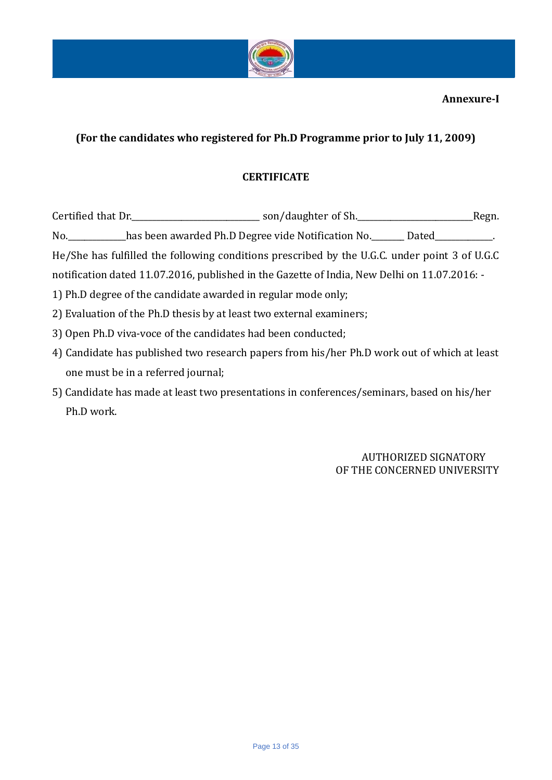

# **(For the candidates who registered for Ph.D Programme prior to July 11, 2009)**

# **CERTIFICATE**

| Certified that Dr. Certified that Dr. Communication Certified that Dr.<br>_Regn.              |
|-----------------------------------------------------------------------------------------------|
| No. has been awarded Ph.D Degree vide Notification No. Dated Demonds.                         |
| He/She has fulfilled the following conditions prescribed by the U.G.C. under point 3 of U.G.C |
| notification dated 11.07.2016, published in the Gazette of India, New Delhi on 11.07.2016: -  |
| 1) Ph.D degree of the candidate awarded in regular mode only;                                 |
| 2) Evaluation of the Ph.D thesis by at least two external examiners;                          |

- 3) Open Ph.D viva-voce of the candidates had been conducted;
- 4) Candidate has published two research papers from his/her Ph.D work out of which at least one must be in a referred journal;
- 5) Candidate has made at least two presentations in conferences/seminars, based on his/her Ph.D work.

AUTHORIZED SIGNATORY OF THE CONCERNED UNIVERSITY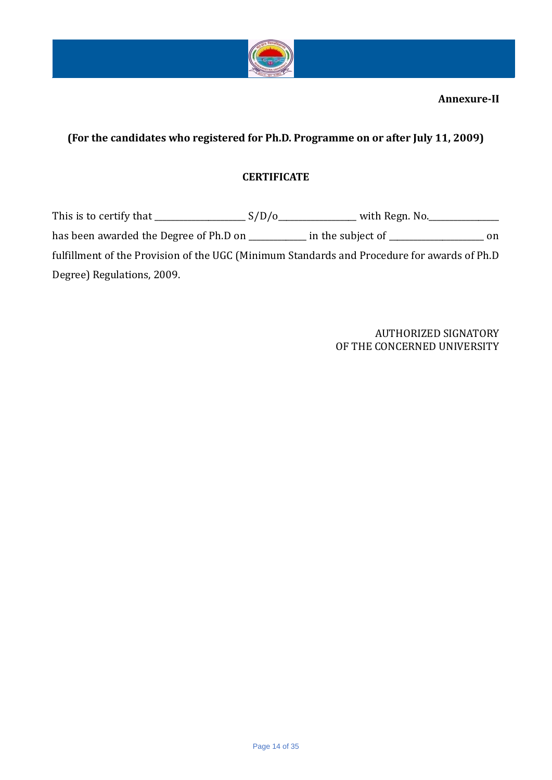

# **(For the candidates who registered for Ph.D. Programme on or after July 11, 2009)**

# **CERTIFICATE**

This is to certify that \_\_\_\_\_\_\_\_\_\_\_\_\_\_\_\_\_\_\_\_\_\_ S/D/o\_\_\_\_\_\_\_\_\_\_\_\_\_\_\_\_\_\_\_ with Regn. No.\_\_\_\_\_\_\_\_\_\_\_\_\_\_\_\_\_ has been awarded the Degree of Ph.D on \_\_\_\_\_\_\_\_\_\_\_\_ in the subject of \_\_\_\_\_\_\_\_\_\_\_\_\_\_\_\_\_\_\_\_\_\_ on fulfillment of the Provision of the UGC (Minimum Standards and Procedure for awards of Ph.D Degree) Regulations, 2009.

> AUTHORIZED SIGNATORY OF THE CONCERNED UNIVERSITY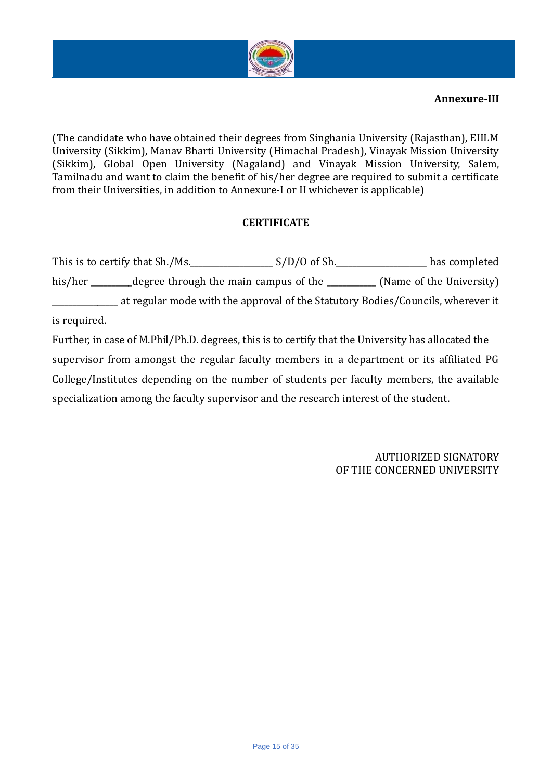

(The candidate who have obtained their degrees from Singhania University (Rajasthan), EIILM University (Sikkim), Manav Bharti University (Himachal Pradesh), Vinayak Mission University (Sikkim), Global Open University (Nagaland) and Vinayak Mission University, Salem, Tamilnadu and want to claim the benefit of his/her degree are required to submit a certificate from their Universities, in addition to Annexure-I or II whichever is applicable)

### **CERTIFICATE**

This is to certify that Sh./Ms.\_\_\_\_\_\_\_\_\_\_\_\_\_\_\_\_\_\_\_\_ S/D/O of Sh.\_\_\_\_\_\_\_\_\_\_\_\_\_\_\_\_\_\_\_\_\_\_ has completed his/her \_\_\_\_\_\_\_degree through the main campus of the \_\_\_\_\_\_\_\_\_\_ (Name of the University) \_\_\_\_\_\_\_\_\_\_\_\_\_\_\_\_ at regular mode with the approval of the Statutory Bodies/Councils, wherever it is required.

Further, in case of M.Phil/Ph.D. degrees, this is to certify that the University has allocated the supervisor from amongst the regular faculty members in a department or its affiliated PG College/Institutes depending on the number of students per faculty members, the available specialization among the faculty supervisor and the research interest of the student.

> AUTHORIZED SIGNATORY OF THE CONCERNED UNIVERSITY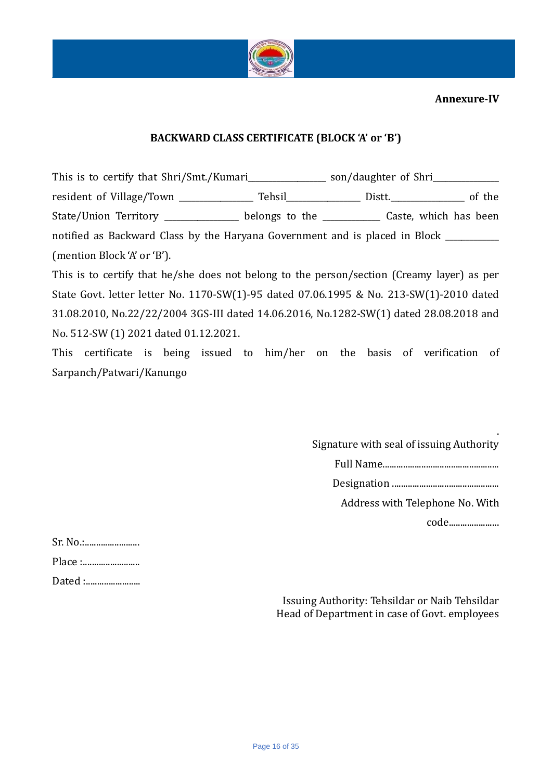

### **BACKWARD CLASS CERTIFICATE (BLOCK 'A' or 'B')**

This is to certify that Shri/Smt./Kumari\_\_\_\_\_\_\_\_\_\_\_\_\_\_\_ son/daughter of Shri\_\_\_\_\_\_\_\_\_\_\_\_\_\_\_\_\_\_\_\_\_\_\_\_\_\_\_\_\_\_\_\_\_\_ resident of Village/Town \_\_\_\_\_\_\_\_\_\_\_\_\_\_\_\_\_\_ Tehsil\_\_\_\_\_\_\_\_\_\_\_\_\_\_\_\_\_\_ Distt.\_\_\_\_\_\_\_\_\_\_\_\_\_\_\_\_\_\_ of the State/Union Territory \_\_\_\_\_\_\_\_\_\_\_\_\_\_\_\_ belongs to the \_\_\_\_\_\_\_\_\_\_\_\_\_\_ Caste, which has been notified as Backward Class by the Haryana Government and is placed in Block \_\_\_\_\_\_\_\_\_\_ (mention Block 'A' or 'B').

This is to certify that he/she does not belong to the person/section (Creamy layer) as per State Govt. letter letter No. 1170-SW(1)-95 dated 07.06.1995 & No. 213-SW(1)-2010 dated 31.08.2010, No.22/22/2004 3GS-III dated 14.06.2016, No.1282-SW(1) dated 28.08.2018 and No. 512-SW (1) 2021 dated 01.12.2021.

This certificate is being issued to him/her on the basis of verification of Sarpanch/Patwari/Kanungo

> . Signature with seal of issuing Authority

> > Full Name...................................................

Designation ...............................................

Address with Telephone No. With

code......................

| Sr. No.: |
|----------|
| Place :  |
| Dated :  |

Issuing Authority: Tehsildar or Naib Tehsildar Head of Department in case of Govt. employees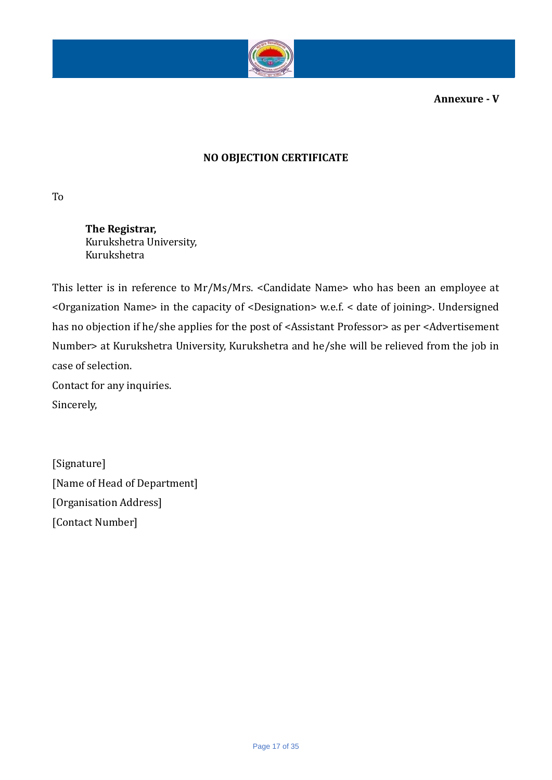

**Annexure - V**

# **NO OBJECTION CERTIFICATE**

To

**The Registrar,** Kurukshetra University, Kurukshetra

This letter is in reference to Mr/Ms/Mrs. <Candidate Name> who has been an employee at <Organization Name> in the capacity of <Designation> w.e.f. < date of joining>. Undersigned has no objection if he/she applies for the post of <Assistant Professor> as per <Advertisement Number> at Kurukshetra University, Kurukshetra and he/she will be relieved from the job in case of selection.

Contact for any inquiries.

Sincerely,

[Signature] [Name of Head of Department] [Organisation Address] [Contact Number]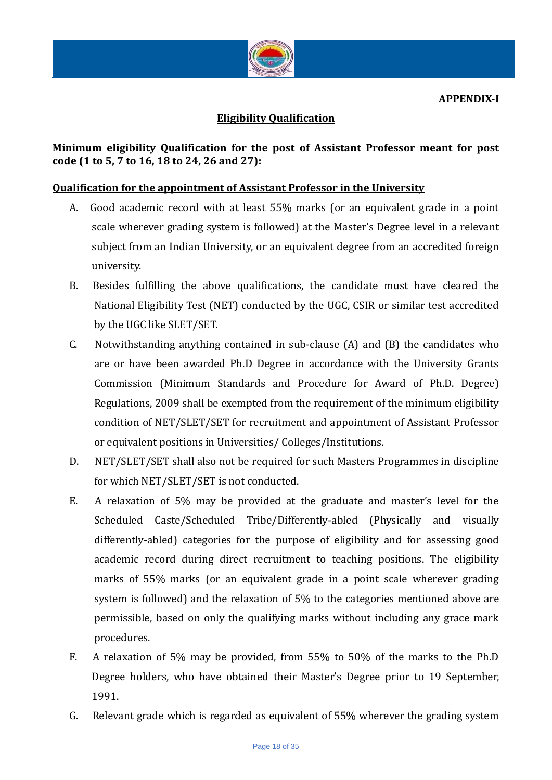

## **Eligibility Qualification**

**Minimum eligibility Qualification for the post of Assistant Professor meant for post code (1 to 5, 7 to 16, 18 to 24, 26 and 27):**

### **Qualification for the appointment of Assistant Professor in the University**

- A. Good academic record with at least 55% marks (or an equivalent grade in a point scale wherever grading system is followed) at the Master's Degree level in a relevant subject from an Indian University, or an equivalent degree from an accredited foreign university.
- B. Besides fulfilling the above qualifications, the candidate must have cleared the National Eligibility Test (NET) conducted by the UGC, CSIR or similar test accredited by the UGC like SLET/SET.
- C. Notwithstanding anything contained in sub-clause (A) and (B) the candidates who are or have been awarded Ph.D Degree in accordance with the University Grants Commission (Minimum Standards and Procedure for Award of Ph.D. Degree) Regulations, 2009 shall be exempted from the requirement of the minimum eligibility condition of NET/SLET/SET for recruitment and appointment of Assistant Professor or equivalent positions in Universities/ Colleges/Institutions.
- D. NET/SLET/SET shall also not be required for such Masters Programmes in discipline for which NET/SLET/SET is not conducted.
- E. A relaxation of 5% may be provided at the graduate and master's level for the Scheduled Caste/Scheduled Tribe/Differently-abled (Physically and visually differently-abled) categories for the purpose of eligibility and for assessing good academic record during direct recruitment to teaching positions. The eligibility marks of 55% marks (or an equivalent grade in a point scale wherever grading system is followed) and the relaxation of 5% to the categories mentioned above are permissible, based on only the qualifying marks without including any grace mark procedures.
- F. A relaxation of 5% may be provided, from 55% to 50% of the marks to the Ph.D Degree holders, who have obtained their Master's Degree prior to 19 September, 1991.
- G. Relevant grade which is regarded as equivalent of 55% wherever the grading system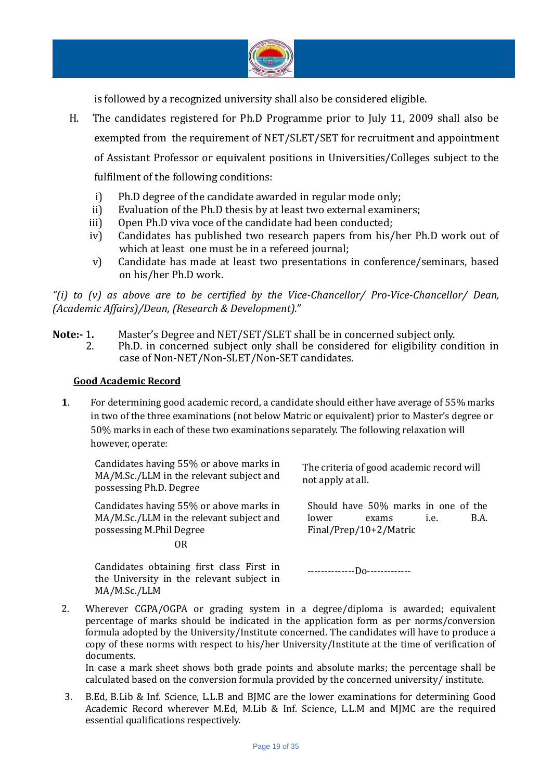

is followed by a recognized university shall also be considered eligible.

- H. The candidates registered for Ph.D Programme prior to July 11, 2009 shall also be exempted from the requirement of NET/SLET/SET for recruitment and appointment of Assistant Professor or equivalent positions in Universities/Colleges subject to the fulfilment of the following conditions:
	- i) Ph.D degree of the candidate awarded in regular mode only;
	- ii) Evaluation of the Ph.D thesis by at least two external examiners;
	- iii) Open Ph.D viva voce of the candidate had been conducted;
	- iv) Candidates has published two research papers from his/her Ph.D work out of which at least one must be in a refereed journal;
	- v) Candidate has made at least two presentations in conference/seminars, based on his/her Ph.D work.

*"(i) to (v) as above are to be certified by the Vice-Chancellor/ Pro-Vice-Chancellor/ Dean, (Academic Affairs)/Dean, (Research & Development)."*

- **Note:-** 1**.** Master's Degree and NET/SET/SLET shall be in concerned subject only.
	- 2. Ph.D. in concerned subject only shall be considered for eligibility condition in case of Non-NET/Non-SLET/Non-SET candidates.

#### **Good Academic Record**

**1**. For determining good academic record, a candidate should either have average of 55% marks in two of the three examinations (not below Matric or equivalent) prior to Master's degree or 50% marks in each of these two examinations separately. The following relaxation will however, operate:

Candidates having 55% or above marks in MA/M.Sc./LLM in the relevant subject and possessing Ph.D. Degree

Candidates having 55% or above marks in MA/M.Sc./LLM in the relevant subject and possessing M.Phil Degree

The criteria of good academic record will not apply at all.

Should have 50% marks in one of the lower exams i.e. B.A. Final/Prep/10+2/Matric

OR

Candidates obtaining first class First in the University in the relevant subject in MA/M.Sc./LLM

--------------Do-------------

2. Wherever CGPA/OGPA or grading system in a degree/diploma is awarded; equivalent percentage of marks should be indicated in the application form as per norms/conversion formula adopted by the University/Institute concerned. The candidates will have to produce a copy of these norms with respect to his/her University/Institute at the time of verification of documents.

In case a mark sheet shows both grade points and absolute marks; the percentage shall be calculated based on the conversion formula provided by the concerned university/ institute.

3. B.Ed, B.Lib & Inf. Science, L.L.B and BJMC are the lower examinations for determining Good Academic Record wherever M.Ed, M.Lib & Inf. Science, L.L.M and MJMC are the required essential qualifications respectively.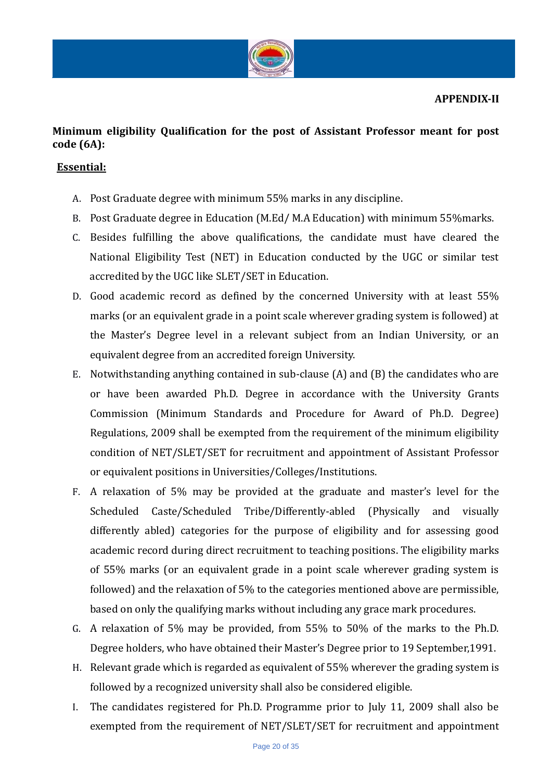

# **Minimum eligibility Qualification for the post of Assistant Professor meant for post code (6A):**

## **Essential:**

- A. Post Graduate degree with minimum 55% marks in any discipline.
- B. Post Graduate degree in Education (M.Ed/ M.A Education) with minimum 55%marks.
- C. Besides fulfilling the above qualifications, the candidate must have cleared the National Eligibility Test (NET) in Education conducted by the UGC or similar test accredited by the UGC like SLET/SET in Education.
- D. Good academic record as defined by the concerned University with at least 55% marks (or an equivalent grade in a point scale wherever grading system is followed) at the Master's Degree level in a relevant subject from an Indian University, or an equivalent degree from an accredited foreign University.
- E. Notwithstanding anything contained in sub-clause (A) and (B) the candidates who are or have been awarded Ph.D. Degree in accordance with the University Grants Commission (Minimum Standards and Procedure for Award of Ph.D. Degree) Regulations, 2009 shall be exempted from the requirement of the minimum eligibility condition of NET/SLET/SET for recruitment and appointment of Assistant Professor or equivalent positions in Universities/Colleges/Institutions.
- F. A relaxation of 5% may be provided at the graduate and master's level for the Scheduled Caste/Scheduled Tribe/Differently-abled (Physically and visually differently abled) categories for the purpose of eligibility and for assessing good academic record during direct recruitment to teaching positions. The eligibility marks of 55% marks (or an equivalent grade in a point scale wherever grading system is followed) and the relaxation of 5% to the categories mentioned above are permissible, based on only the qualifying marks without including any grace mark procedures.
- G. A relaxation of 5% may be provided, from 55% to 50% of the marks to the Ph.D. Degree holders, who have obtained their Master's Degree prior to 19 September,1991.
- H. Relevant grade which is regarded as equivalent of 55% wherever the grading system is followed by a recognized university shall also be considered eligible.
- I. The candidates registered for Ph.D. Programme prior to July 11, 2009 shall also be exempted from the requirement of NET/SLET/SET for recruitment and appointment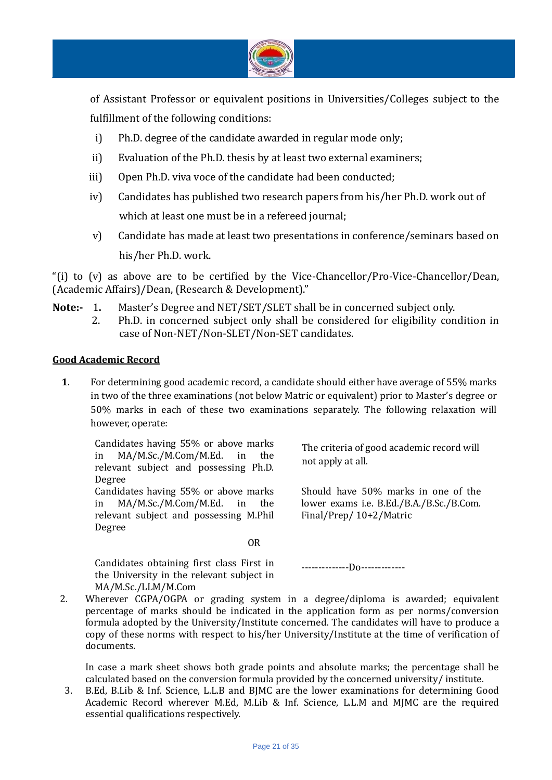

of Assistant Professor or equivalent positions in Universities/Colleges subject to the fulfillment of the following conditions:

- i) Ph.D. degree of the candidate awarded in regular mode only;
- ii) Evaluation of the Ph.D. thesis by at least two external examiners;
- iii) Open Ph.D. viva voce of the candidate had been conducted;
- iv) Candidates has published two research papers from his/her Ph.D. work out of which at least one must be in a refereed journal;
- v) Candidate has made at least two presentations in conference/seminars based on his/her Ph.D. work.

"(i) to (v) as above are to be certified by the Vice-Chancellor/Pro-Vice-Chancellor/Dean, (Academic Affairs)/Dean, (Research & Development)."

**Note:-** 1**.** Master's Degree and NET/SET/SLET shall be in concerned subject only. 2. Ph.D. in concerned subject only shall be considered for eligibility condition in case of Non-NET/Non-SLET/Non-SET candidates.

### **Good Academic Record**

**1**. For determining good academic record, a candidate should either have average of 55% marks in two of the three examinations (not below Matric or equivalent) prior to Master's degree or 50% marks in each of these two examinations separately. The following relaxation will however, operate:

Candidates having 55% or above marks in MA/M.Sc./M.Com/M.Ed. in the relevant subject and possessing Ph.D. Degree Candidates having 55% or above marks in MA/M.Sc./M.Com/M.Ed. in the relevant subject and possessing M.Phil Degree

**OR** Service Service Service Service Service Service Service Service Service Service Service Service Service Service Service Service Service Service Service Service Service Service Service Service Service Service Service S

Candidates obtaining first class First in the University in the relevant subject in MA/M.Sc./LLM/M.Com

not apply at all.

The criteria of good academic record will

Should have 50% marks in one of the lower exams i.e. B.Ed./B.A./B.Sc./B.Com. Final/Prep/ 10+2/Matric

--------------Do-------------

2. Wherever CGPA/OGPA or grading system in a degree/diploma is awarded; equivalent percentage of marks should be indicated in the application form as per norms/conversion formula adopted by the University/Institute concerned. The candidates will have to produce a copy of these norms with respect to his/her University/Institute at the time of verification of documents.

In case a mark sheet shows both grade points and absolute marks; the percentage shall be calculated based on the conversion formula provided by the concerned university/ institute.

3. B.Ed, B.Lib & Inf. Science, L.L.B and BJMC are the lower examinations for determining Good Academic Record wherever M.Ed, M.Lib & Inf. Science, L.L.M and MJMC are the required essential qualifications respectively.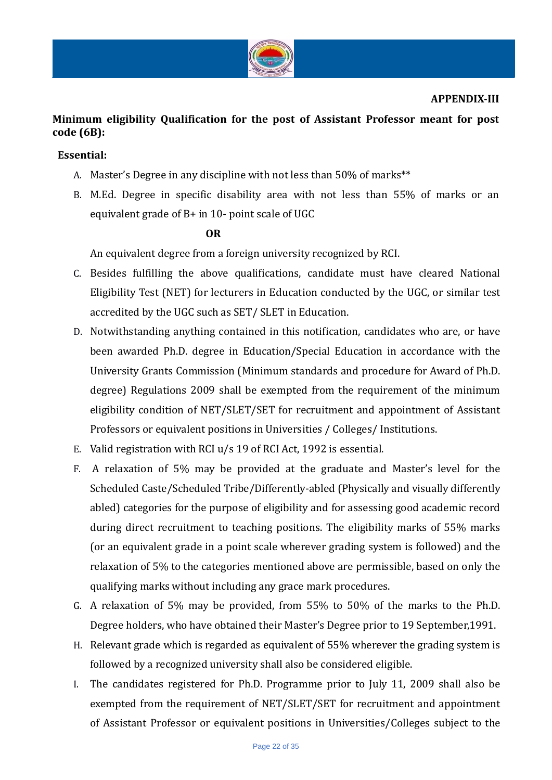

#### **APPENDIX-III**

# **Minimum eligibility Qualification for the post of Assistant Professor meant for post code (6B):**

### **Essential:**

- A. Master's Degree in any discipline with not less than 50% of marks\*\*
- B. M.Ed. Degree in specific disability area with not less than 55% of marks or an equivalent grade of B+ in 10- point scale of UGC

#### **OR**

An equivalent degree from a foreign university recognized by RCI.

- C. Besides fulfilling the above qualifications, candidate must have cleared National Eligibility Test (NET) for lecturers in Education conducted by the UGC, or similar test accredited by the UGC such as SET/ SLET in Education.
- D. Notwithstanding anything contained in this notification, candidates who are, or have been awarded Ph.D. degree in Education/Special Education in accordance with the University Grants Commission (Minimum standards and procedure for Award of Ph.D. degree) Regulations 2009 shall be exempted from the requirement of the minimum eligibility condition of NET/SLET/SET for recruitment and appointment of Assistant Professors or equivalent positions in Universities / Colleges/ Institutions.
- E. Valid registration with RCI u/s 19 of RCI Act, 1992 is essential.
- F. A relaxation of 5% may be provided at the graduate and Master's level for the Scheduled Caste/Scheduled Tribe/Differently-abled (Physically and visually differently abled) categories for the purpose of eligibility and for assessing good academic record during direct recruitment to teaching positions. The eligibility marks of 55% marks (or an equivalent grade in a point scale wherever grading system is followed) and the relaxation of 5% to the categories mentioned above are permissible, based on only the qualifying marks without including any grace mark procedures.
- G. A relaxation of 5% may be provided, from 55% to 50% of the marks to the Ph.D. Degree holders, who have obtained their Master's Degree prior to 19 September,1991.
- H. Relevant grade which is regarded as equivalent of 55% wherever the grading system is followed by a recognized university shall also be considered eligible.
- I. The candidates registered for Ph.D. Programme prior to July 11, 2009 shall also be exempted from the requirement of NET/SLET/SET for recruitment and appointment of Assistant Professor or equivalent positions in Universities/Colleges subject to the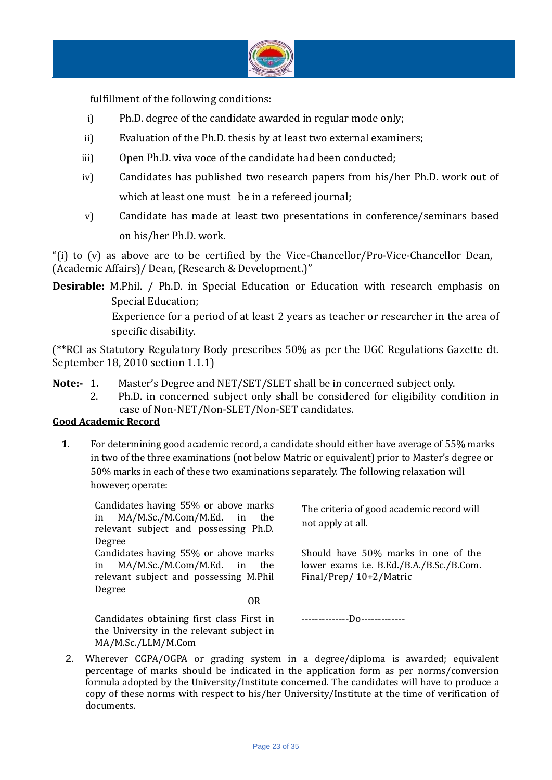

fulfillment of the following conditions:

- i) Ph.D. degree of the candidate awarded in regular mode only;
- ii) Evaluation of the Ph.D. thesis by at least two external examiners;
- iii) Open Ph.D. viva voce of the candidate had been conducted;
- iv) Candidates has published two research papers from his/her Ph.D. work out of which at least one must be in a refereed journal;
- v) Candidate has made at least two presentations in conference/seminars based on his/her Ph.D. work.

"(i) to (v) as above are to be certified by the Vice-Chancellor/Pro-Vice-Chancellor Dean, (Academic Affairs)/ Dean, (Research & Development.)"

**Desirable:** M.Phil. / Ph.D. in Special Education or Education with research emphasis on Special Education; Experience for a period of at least 2 years as teacher or researcher in the area of specific disability.

(\*\*RCI as Statutory Regulatory Body prescribes 50% as per the UGC Regulations Gazette dt. September 18, 2010 section 1.1.1)

- **Note:-** 1**.** Master's Degree and NET/SET/SLET shall be in concerned subject only.
	- 2. Ph.D. in concerned subject only shall be considered for eligibility condition in case of Non-NET/Non-SLET/Non-SET candidates.

### **Good Academic Record**

**1**. For determining good academic record, a candidate should either have average of 55% marks in two of the three examinations (not below Matric or equivalent) prior to Master's degree or 50% marks in each of these two examinations separately. The following relaxation will however, operate:

Candidates having 55% or above marks in MA/M.Sc./M.Com/M.Ed. in the relevant subject and possessing Ph.D. Degree Candidates having 55% or above marks in MA/M.Sc./M.Com/M.Ed. in the relevant subject and possessing M.Phil Degree **OR** Service Service Service Service Service Service Service Service Service Service Service Service Service Service Service Service Service Service Service Service Service Service Service Service Service Service Service S

The criteria of good academic record will not apply at all.

Should have 50% marks in one of the lower exams i.e. B.Ed./B.A./B.Sc./B.Com. Final/Prep/ 10+2/Matric

Candidates obtaining first class First in the University in the relevant subject in MA/M.Sc./LLM/M.Com

--------------Do-------------

2. Wherever CGPA/OGPA or grading system in a degree/diploma is awarded; equivalent percentage of marks should be indicated in the application form as per norms/conversion formula adopted by the University/Institute concerned. The candidates will have to produce a copy of these norms with respect to his/her University/Institute at the time of verification of documents.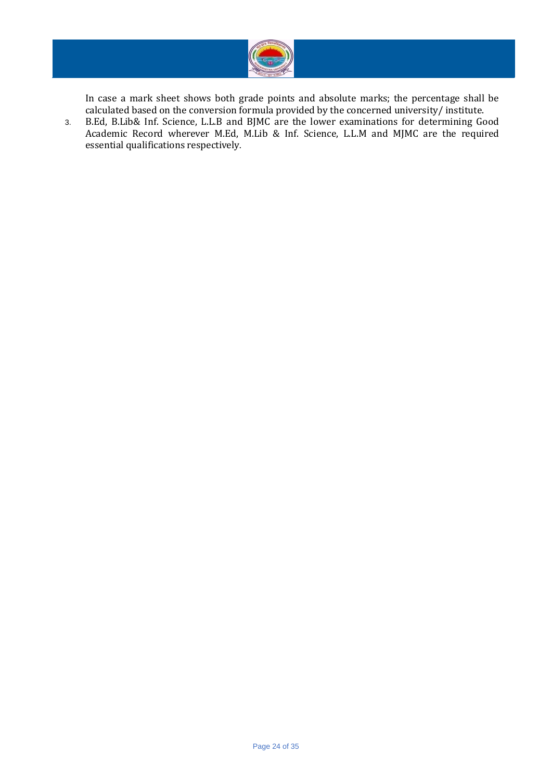

In case a mark sheet shows both grade points and absolute marks; the percentage shall be calculated based on the conversion formula provided by the concerned university/ institute.

3. B.Ed, B.Lib& Inf. Science, L.L.B and BJMC are the lower examinations for determining Good Academic Record wherever M.Ed, M.Lib & Inf. Science, L.L.M and MJMC are the required essential qualifications respectively.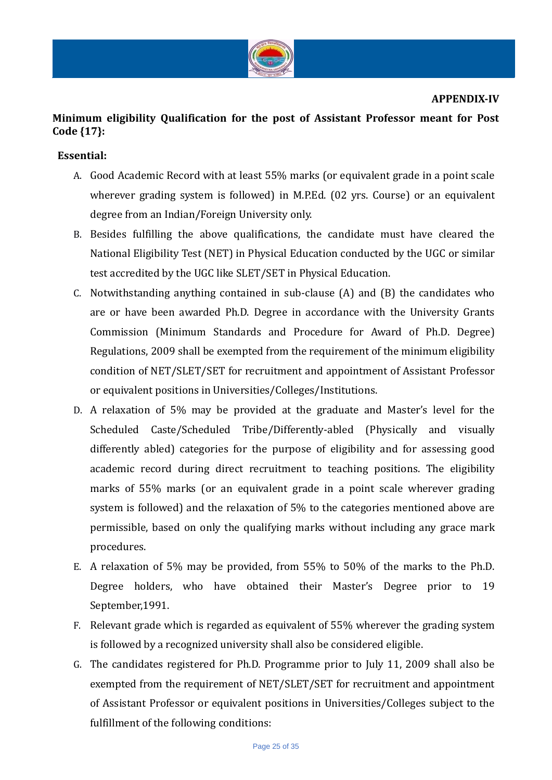

#### **APPENDIX-IV**

# **Minimum eligibility Qualification for the post of Assistant Professor meant for Post Code {17}:**

### **Essential:**

- A. Good Academic Record with at least 55% marks (or equivalent grade in a point scale wherever grading system is followed) in M.P.Ed. (02 yrs. Course) or an equivalent degree from an Indian/Foreign University only.
- B. Besides fulfilling the above qualifications, the candidate must have cleared the National Eligibility Test (NET) in Physical Education conducted by the UGC or similar test accredited by the UGC like SLET/SET in Physical Education.
- C. Notwithstanding anything contained in sub-clause (A) and (B) the candidates who are or have been awarded Ph.D. Degree in accordance with the University Grants Commission (Minimum Standards and Procedure for Award of Ph.D. Degree) Regulations, 2009 shall be exempted from the requirement of the minimum eligibility condition of NET/SLET/SET for recruitment and appointment of Assistant Professor or equivalent positions in Universities/Colleges/Institutions.
- D. A relaxation of 5% may be provided at the graduate and Master's level for the Scheduled Caste/Scheduled Tribe/Differently-abled (Physically and visually differently abled) categories for the purpose of eligibility and for assessing good academic record during direct recruitment to teaching positions. The eligibility marks of 55% marks (or an equivalent grade in a point scale wherever grading system is followed) and the relaxation of 5% to the categories mentioned above are permissible, based on only the qualifying marks without including any grace mark procedures.
- E. A relaxation of 5% may be provided, from 55% to 50% of the marks to the Ph.D. Degree holders, who have obtained their Master's Degree prior to 19 September,1991.
- F. Relevant grade which is regarded as equivalent of 55% wherever the grading system is followed by a recognized university shall also be considered eligible.
- G. The candidates registered for Ph.D. Programme prior to July 11, 2009 shall also be exempted from the requirement of NET/SLET/SET for recruitment and appointment of Assistant Professor or equivalent positions in Universities/Colleges subject to the fulfillment of the following conditions: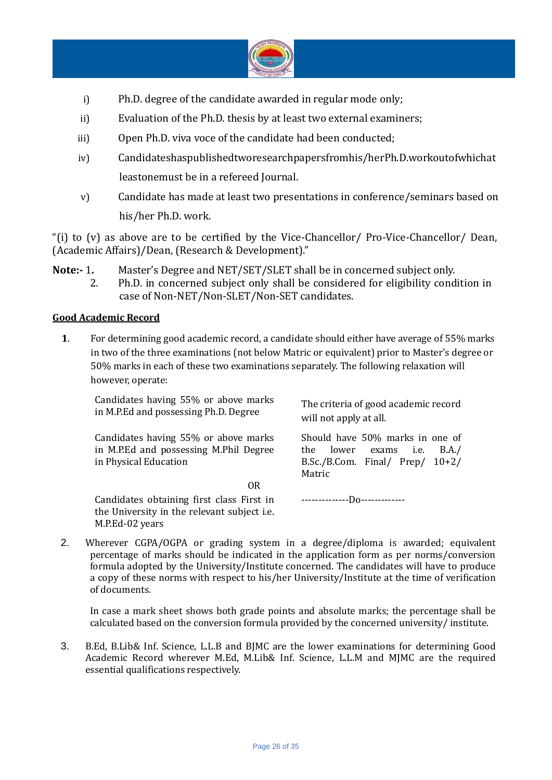

- i) Ph.D. degree of the candidate awarded in regular mode only;
- ii) Evaluation of the Ph.D. thesis by at least two external examiners;
- iii) Open Ph.D. viva voce of the candidate had been conducted;
- iv) Candidateshaspublishedtworesearchpapersfromhis/herPh.D.workoutofwhichat leastonemust be in a refereed Journal.
- v) Candidate has made at least two presentations in conference/seminars based on his/her Ph.D. work.

"(i) to (v) as above are to be certified by the Vice-Chancellor/ Pro-Vice-Chancellor/ Dean, (Academic Affairs)/Dean, (Research & Development)."

**Note:-** 1**.** Master's Degree and NET/SET/SLET shall be in concerned subject only.

2. Ph.D. in concerned subject only shall be considered for eligibility condition in case of Non-NET/Non-SLET/Non-SET candidates.

### **Good Academic Record**

**1**. For determining good academic record, a candidate should either have average of 55% marks in two of the three examinations (not below Matric or equivalent) prior to Master's degree or 50% marks in each of these two examinations separately. The following relaxation will however, operate:

Candidates having 55% or above marks in M.P.Ed and possessing Ph.D. Degree The criteria of good academic record will not apply at all. Candidates having 55% or above marks in M.P.Ed and possessing M.Phil Degree in Physical Education Should have 50% marks in one of the lower exams i.e. B.A./ B.Sc./B.Com. Final/ Prep/ 10+2/ Matric **OR** Service Service Service Service Service Service Service Service Service Service Service Service Service Service Service Service Service Service Service Service Service Service Service Service Service Service Service S Candidates obtaining first class First in the University in the relevant subject i.e. M.P.Ed-02 years --------------Do-------------

2. Wherever CGPA/OGPA or grading system in a degree/diploma is awarded; equivalent percentage of marks should be indicated in the application form as per norms/conversion formula adopted by the University/Institute concerned. The candidates will have to produce a copy of these norms with respect to his/her University/Institute at the time of verification of documents.

In case a mark sheet shows both grade points and absolute marks; the percentage shall be calculated based on the conversion formula provided by the concerned university/ institute.

3. B.Ed, B.Lib& Inf. Science, L.L.B and BJMC are the lower examinations for determining Good Academic Record wherever M.Ed, M.Lib& Inf. Science, L.L.M and MJMC are the required essential qualifications respectively.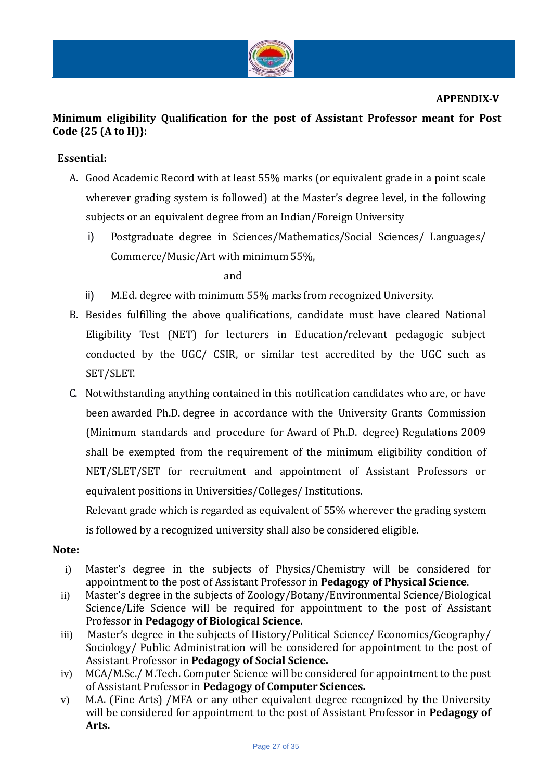

# **Minimum eligibility Qualification for the post of Assistant Professor meant for Post Code {25 (A to H)}:**

### **Essential:**

- A. Good Academic Record with at least 55% marks (or equivalent grade in a point scale wherever grading system is followed) at the Master's degree level, in the following subjects or an equivalent degree from an Indian/Foreign University
	- i) Postgraduate degree in Sciences/Mathematics/Social Sciences/ Languages/ Commerce/Music/Art with minimum 55%,

and

- ii) M.Ed. degree with minimum 55% marks from recognized University.
- B. Besides fulfilling the above qualifications, candidate must have cleared National Eligibility Test (NET) for lecturers in Education/relevant pedagogic subject conducted by the UGC/ CSIR, or similar test accredited by the UGC such as SET/SLET.
- C. Notwithstanding anything contained in this notification candidates who are, or have been awarded Ph.D. degree in accordance with the University Grants Commission (Minimum standards and procedure for Award of Ph.D. degree) Regulations 2009 shall be exempted from the requirement of the minimum eligibility condition of NET/SLET/SET for recruitment and appointment of Assistant Professors or equivalent positions in Universities/Colleges/ Institutions.

Relevant grade which is regarded as equivalent of 55% wherever the grading system is followed by a recognized university shall also be considered eligible.

### **Note:**

- i) Master's degree in the subjects of Physics/Chemistry will be considered for appointment to the post of Assistant Professor in **Pedagogy of Physical Science**.
- ii) Master's degree in the subjects of Zoology/Botany/Environmental Science/Biological Science/Life Science will be required for appointment to the post of Assistant Professor in **Pedagogy of Biological Science.**
- iii) Master's degree in the subjects of History/Political Science/ Economics/Geography/ Sociology/ Public Administration will be considered for appointment to the post of Assistant Professor in **Pedagogy of Social Science.**
- iv) MCA/M.Sc./ M.Tech. Computer Science will be considered for appointment to the post of Assistant Professor in **Pedagogy of Computer Sciences.**
- v) M.A. (Fine Arts) /MFA or any other equivalent degree recognized by the University will be considered for appointment to the post of Assistant Professor in **Pedagogy of Arts.**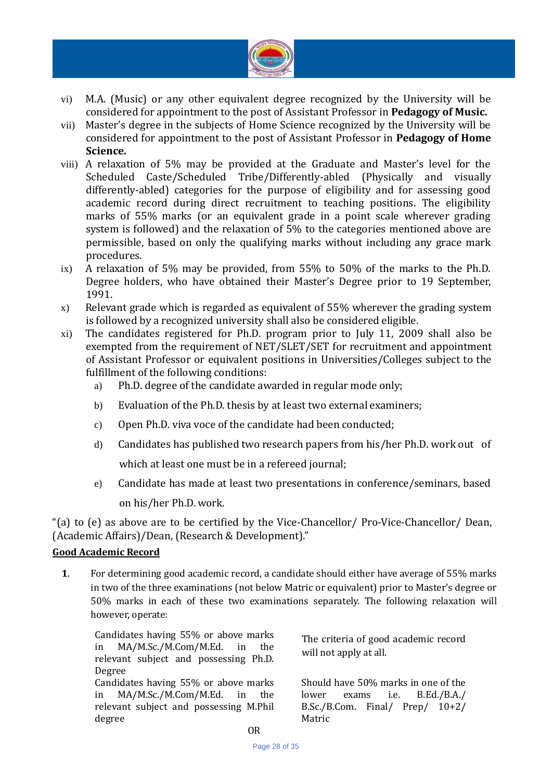

- vi) M.A. (Music) or any other equivalent degree recognized by the University will be considered for appointment to the post of Assistant Professor in **Pedagogy of Music.**
- vii) Master's degree in the subjects of Home Science recognized by the University will be considered for appointment to the post of Assistant Professor in **Pedagogy of Home Science.**
- viii) A relaxation of 5% may be provided at the Graduate and Master's level for the Scheduled Caste/Scheduled Tribe/Differently-abled (Physically and visually differently-abled) categories for the purpose of eligibility and for assessing good academic record during direct recruitment to teaching positions. The eligibility marks of 55% marks (or an equivalent grade in a point scale wherever grading system is followed) and the relaxation of 5% to the categories mentioned above are permissible, based on only the qualifying marks without including any grace mark procedures.
- ix) A relaxation of 5% may be provided, from 55% to 50% of the marks to the Ph.D. Degree holders, who have obtained their Master's Degree prior to 19 September, 1991.
- x) Relevant grade which is regarded as equivalent of 55% wherever the grading system is followed by a recognized university shall also be considered eligible.
- xi) The candidates registered for Ph.D. program prior to July 11, 2009 shall also be exempted from the requirement of NET/SLET/SET for recruitment and appointment of Assistant Professor or equivalent positions in Universities/Colleges subject to the fulfillment of the following conditions:
	- a) Ph.D. degree of the candidate awarded in regular mode only;
	- b) Evaluation of the Ph.D. thesis by at least two external examiners;
	- c) Open Ph.D. viva voce of the candidate had been conducted;
	- d) Candidates has published two research papers from his/her Ph.D. work out of which at least one must be in a refereed journal;
	- e) Candidate has made at least two presentations in conference/seminars, based on his/her Ph.D. work.

"(a) to (e) as above are to be certified by the Vice-Chancellor/ Pro-Vice-Chancellor/ Dean, (Academic Affairs)/Dean, (Research & Development)."

### **Good Academic Record**

**1**. For determining good academic record, a candidate should either have average of 55% marks in two of the three examinations (not below Matric or equivalent) prior to Master's degree or 50% marks in each of these two examinations separately. The following relaxation will however, operate:

Candidates having 55% or above marks in MA/M.Sc./M.Com/M.Ed. in the relevant subject and possessing Ph.D. Degree Candidates having 55% or above marks in MA/M.Sc./M.Com/M.Ed. in the relevant subject and possessing M.Phil degree

The criteria of good academic record will not apply at all.

Should have 50% marks in one of the lower exams i.e. B.Ed./B.A./ B.Sc./B.Com. Final/ Prep/ 10+2/ Matric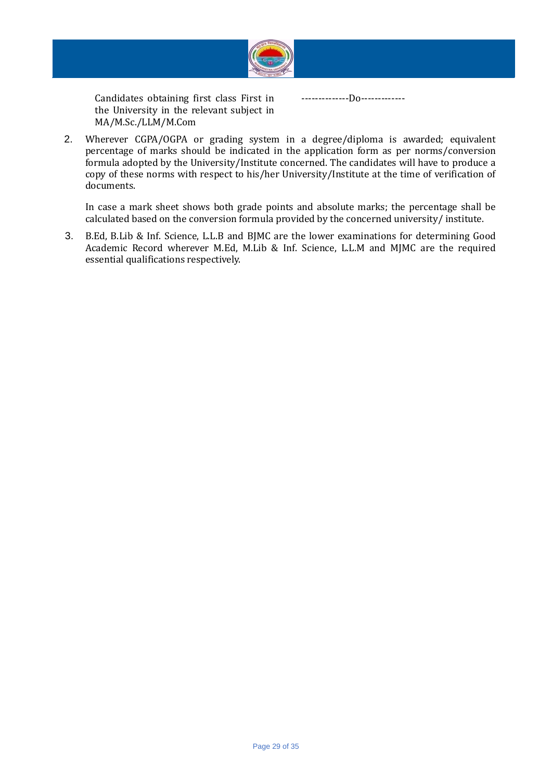

Candidates obtaining first class First in the University in the relevant subject in MA/M.Sc./LLM/M.Com

--------------Do-------------

2. Wherever CGPA/OGPA or grading system in a degree/diploma is awarded; equivalent percentage of marks should be indicated in the application form as per norms/conversion formula adopted by the University/Institute concerned. The candidates will have to produce a copy of these norms with respect to his/her University/Institute at the time of verification of documents.

In case a mark sheet shows both grade points and absolute marks; the percentage shall be calculated based on the conversion formula provided by the concerned university/ institute.

3. B.Ed, B.Lib & Inf. Science, L.L.B and BJMC are the lower examinations for determining Good Academic Record wherever M.Ed, M.Lib & Inf. Science, L.L.M and MJMC are the required essential qualifications respectively.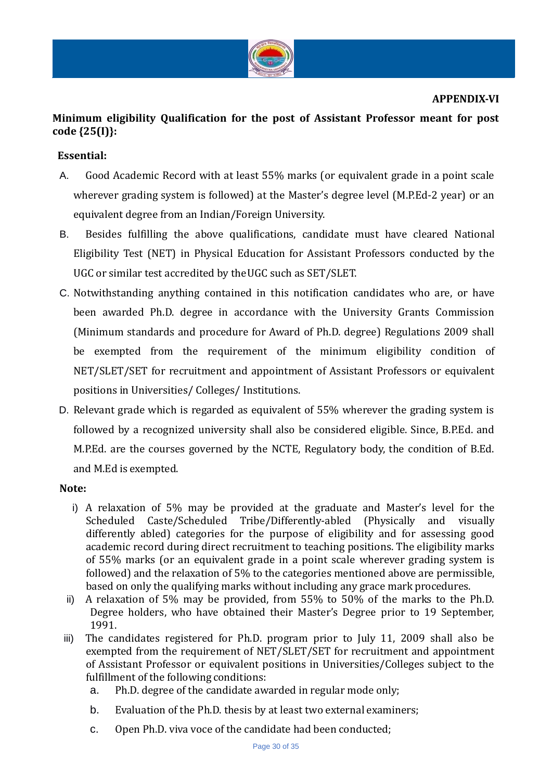

#### **APPENDIX-VI**

# **Minimum eligibility Qualification for the post of Assistant Professor meant for post code {25(I)}:**

### **Essential:**

- A. Good Academic Record with at least 55% marks (or equivalent grade in a point scale wherever grading system is followed) at the Master's degree level (M.P.Ed-2 year) or an equivalent degree from an Indian/Foreign University.
- B. Besides fulfilling the above qualifications, candidate must have cleared National Eligibility Test (NET) in Physical Education for Assistant Professors conducted by the UGC or similar test accredited by theUGC such as SET/SLET.
- C. Notwithstanding anything contained in this notification candidates who are, or have been awarded Ph.D. degree in accordance with the University Grants Commission (Minimum standards and procedure for Award of Ph.D. degree) Regulations 2009 shall be exempted from the requirement of the minimum eligibility condition of NET/SLET/SET for recruitment and appointment of Assistant Professors or equivalent positions in Universities/ Colleges/ Institutions.
- D. Relevant grade which is regarded as equivalent of 55% wherever the grading system is followed by a recognized university shall also be considered eligible. Since, B.P.Ed. and M.P.Ed. are the courses governed by the NCTE, Regulatory body, the condition of B.Ed. and M.Ed is exempted.

### **Note:**

- i) A relaxation of 5% may be provided at the graduate and Master's level for the Scheduled Caste/Scheduled Tribe/Differently-abled (Physically and visually differently abled) categories for the purpose of eligibility and for assessing good academic record during direct recruitment to teaching positions. The eligibility marks of 55% marks (or an equivalent grade in a point scale wherever grading system is followed) and the relaxation of 5% to the categories mentioned above are permissible, based on only the qualifying marks without including any grace mark procedures.
- ii) A relaxation of 5% may be provided, from 55% to 50% of the marks to the Ph.D. Degree holders, who have obtained their Master's Degree prior to 19 September, 1991.
- iii) The candidates registered for Ph.D. program prior to July 11, 2009 shall also be exempted from the requirement of NET/SLET/SET for recruitment and appointment of Assistant Professor or equivalent positions in Universities/Colleges subject to the fulfillment of the following conditions:
	- a. Ph.D. degree of the candidate awarded in regular mode only;
	- b. Evaluation of the Ph.D. thesis by at least two external examiners;
	- c. Open Ph.D. viva voce of the candidate had been conducted;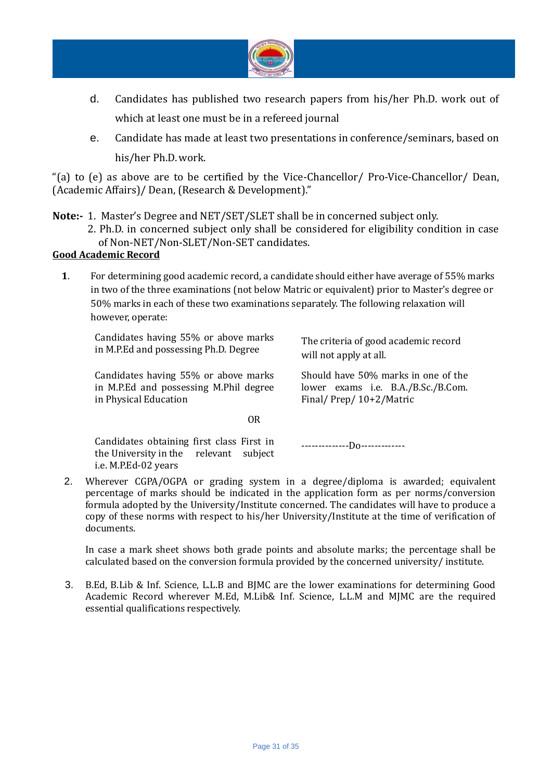

- d. Candidates has published two research papers from his/her Ph.D. work out of which at least one must be in a refereed journal
- e. Candidate has made at least two presentations in conference/seminars, based on his/her Ph.D.work.

"(a) to (e) as above are to be certified by the Vice-Chancellor/ Pro-Vice-Chancellor/ Dean, (Academic Affairs)/ Dean, (Research & Development)."

**Note:-** 1. Master's Degree and NET/SET/SLET shall be in concerned subject only.

2. Ph.D. in concerned subject only shall be considered for eligibility condition in case of Non-NET/Non-SLET/Non-SET candidates.

### **Good Academic Record**

**1**. For determining good academic record, a candidate should either have average of 55% marks in two of the three examinations (not below Matric or equivalent) prior to Master's degree or 50% marks in each of these two examinations separately. The following relaxation will however, operate:

Candidates having 55% or above marks in M.P.Ed and possessing Ph.D. Degree

Candidates having 55% or above marks in M.P.Ed and possessing M.Phil degree in Physical Education

The criteria of good academic record will not apply at all.

Should have 50% marks in one of the lower exams i.e. B.A./B.Sc./B.Com. Final/ Prep/ 10+2/Matric

**OR** Service Service Service Service Service Service Service Service Service Service Service Service Service Service Service Service Service Service Service Service Service Service Service Service Service Service Service S

Candidates obtaining first class First in the University in the relevant subject i.e. M.P.Ed-02 years

--------------Do-------------

2. Wherever CGPA/OGPA or grading system in a degree/diploma is awarded; equivalent percentage of marks should be indicated in the application form as per norms/conversion formula adopted by the University/Institute concerned. The candidates will have to produce a copy of these norms with respect to his/her University/Institute at the time of verification of documents.

In case a mark sheet shows both grade points and absolute marks; the percentage shall be calculated based on the conversion formula provided by the concerned university/ institute.

3. B.Ed, B.Lib & Inf. Science, L.L.B and BJMC are the lower examinations for determining Good Academic Record wherever M.Ed, M.Lib& Inf. Science, L.L.M and MJMC are the required essential qualifications respectively.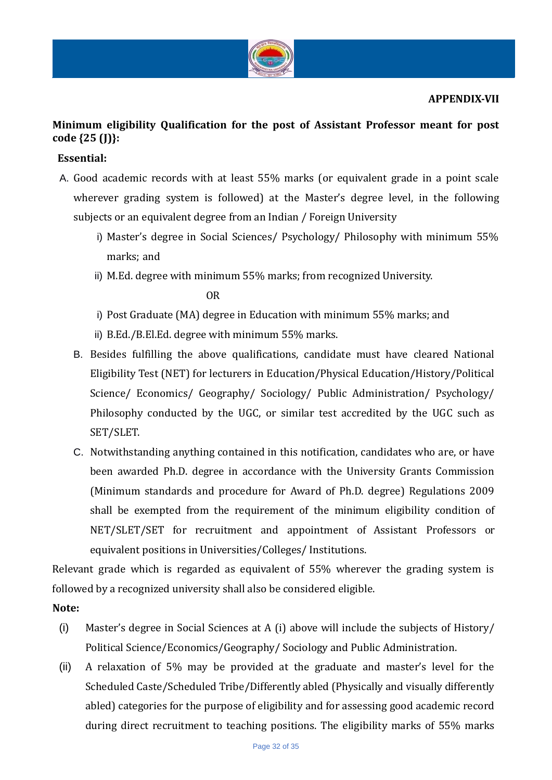

### **APPENDIX-VII**

# **Minimum eligibility Qualification for the post of Assistant Professor meant for post code {25 (J)}:**

### **Essential:**

- A. Good academic records with at least 55% marks (or equivalent grade in a point scale wherever grading system is followed) at the Master's degree level, in the following subjects or an equivalent degree from an Indian / Foreign University
	- i) Master's degree in Social Sciences/ Psychology/ Philosophy with minimum 55% marks; and
	- ii) M.Ed. degree with minimum 55% marks; from recognized University.

OR

- i) Post Graduate (MA) degree in Education with minimum 55% marks; and
- ii) B.Ed./B.El.Ed. degree with minimum 55% marks.
- B. Besides fulfilling the above qualifications, candidate must have cleared National Eligibility Test (NET) for lecturers in Education/Physical Education/History/Political Science/ Economics/ Geography/ Sociology/ Public Administration/ Psychology/ Philosophy conducted by the UGC, or similar test accredited by the UGC such as SET/SLET.
- C. Notwithstanding anything contained in this notification, candidates who are, or have been awarded Ph.D. degree in accordance with the University Grants Commission (Minimum standards and procedure for Award of Ph.D. degree) Regulations 2009 shall be exempted from the requirement of the minimum eligibility condition of NET/SLET/SET for recruitment and appointment of Assistant Professors or equivalent positions in Universities/Colleges/ Institutions.

Relevant grade which is regarded as equivalent of 55% wherever the grading system is followed by a recognized university shall also be considered eligible.

### **Note:**

- (i) Master's degree in Social Sciences at A (i) above will include the subjects of History/ Political Science/Economics/Geography/ Sociology and Public Administration.
- (ii) A relaxation of 5% may be provided at the graduate and master's level for the Scheduled Caste/Scheduled Tribe/Differently abled (Physically and visually differently abled) categories for the purpose of eligibility and for assessing good academic record during direct recruitment to teaching positions. The eligibility marks of 55% marks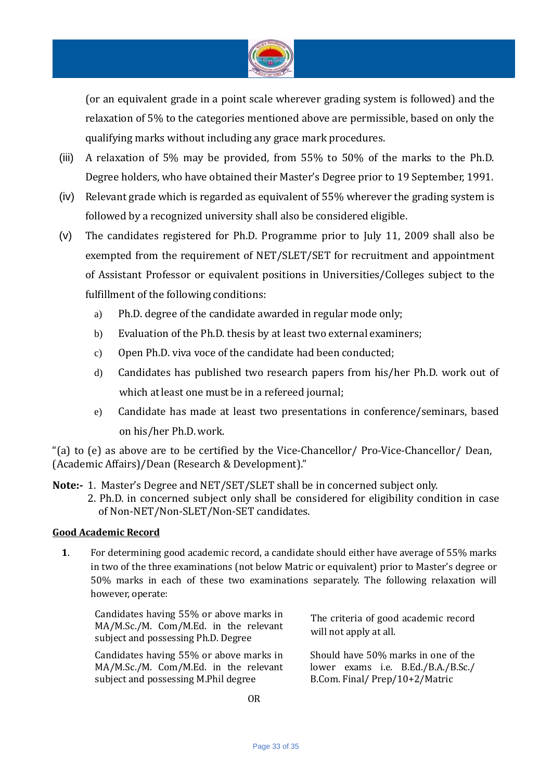

(or an equivalent grade in a point scale wherever grading system is followed) and the relaxation of 5% to the categories mentioned above are permissible, based on only the qualifying marks without including any grace mark procedures.

- (iii) A relaxation of 5% may be provided, from 55% to 50% of the marks to the Ph.D. Degree holders, who have obtained their Master's Degree prior to 19 September, 1991.
- (iv) Relevant grade which is regarded as equivalent of 55% wherever the grading system is followed by a recognized university shall also be considered eligible.
- (v) The candidates registered for Ph.D. Programme prior to July 11, 2009 shall also be exempted from the requirement of NET/SLET/SET for recruitment and appointment of Assistant Professor or equivalent positions in Universities/Colleges subject to the fulfillment of the following conditions:
	- a) Ph.D. degree of the candidate awarded in regular mode only;
	- b) Evaluation of the Ph.D. thesis by at least two external examiners;
	- c) Open Ph.D. viva voce of the candidate had been conducted;
	- d) Candidates has published two research papers from his/her Ph.D. work out of which atleast one must be in a refereed journal;
	- e) Candidate has made at least two presentations in conference/seminars, based on his/her Ph.D.work.

"(a) to (e) as above are to be certified by the Vice-Chancellor/ Pro-Vice-Chancellor/ Dean, (Academic Affairs)/Dean (Research & Development)."

**Note:-** 1. Master's Degree and NET/SET/SLET shall be in concerned subject only. 2. Ph.D. in concerned subject only shall be considered for eligibility condition in case of Non-NET/Non-SLET/Non-SET candidates.

### **Good Academic Record**

**1**. For determining good academic record, a candidate should either have average of 55% marks in two of the three examinations (not below Matric or equivalent) prior to Master's degree or 50% marks in each of these two examinations separately. The following relaxation will however, operate:

Candidates having 55% or above marks in MA/M.Sc./M. Com/M.Ed. in the relevant subject and possessing Ph.D. Degree

Candidates having 55% or above marks in MA/M.Sc./M. Com/M.Ed. in the relevant subject and possessing M.Phil degree

The criteria of good academic record will not apply at all.

Should have 50% marks in one of the lower exams i.e. B.Ed./B.A./B.Sc./ B.Com. Final/ Prep/10+2/Matric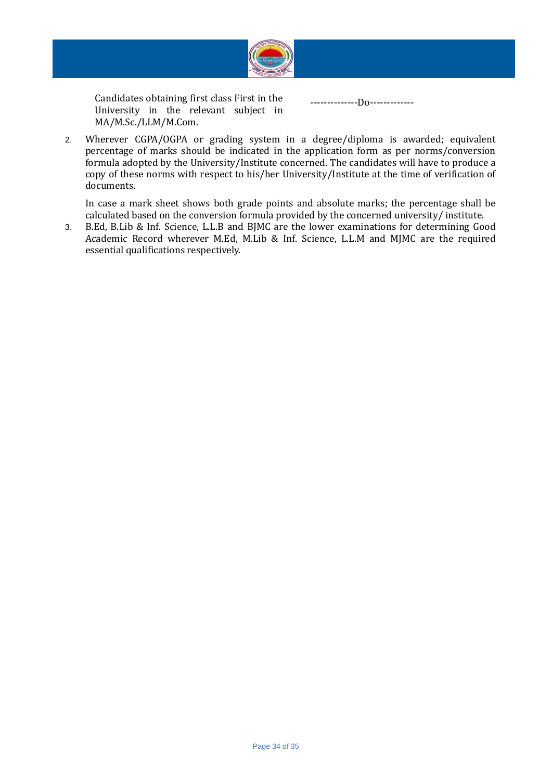

Candidates obtaining first class First in the University in the relevant subject in MA/M.Sc./LLM/M.Com.

--------------Do-------------

2. Wherever CGPA/OGPA or grading system in a degree/diploma is awarded; equivalent percentage of marks should be indicated in the application form as per norms/conversion formula adopted by the University/Institute concerned. The candidates will have to produce a copy of these norms with respect to his/her University/Institute at the time of verification of documents.

In case a mark sheet shows both grade points and absolute marks; the percentage shall be calculated based on the conversion formula provided by the concerned university/ institute.

3. B.Ed, B.Lib & Inf. Science, L.L.B and BJMC are the lower examinations for determining Good Academic Record wherever M.Ed, M.Lib & Inf. Science, L.L.M and MJMC are the required essential qualifications respectively.